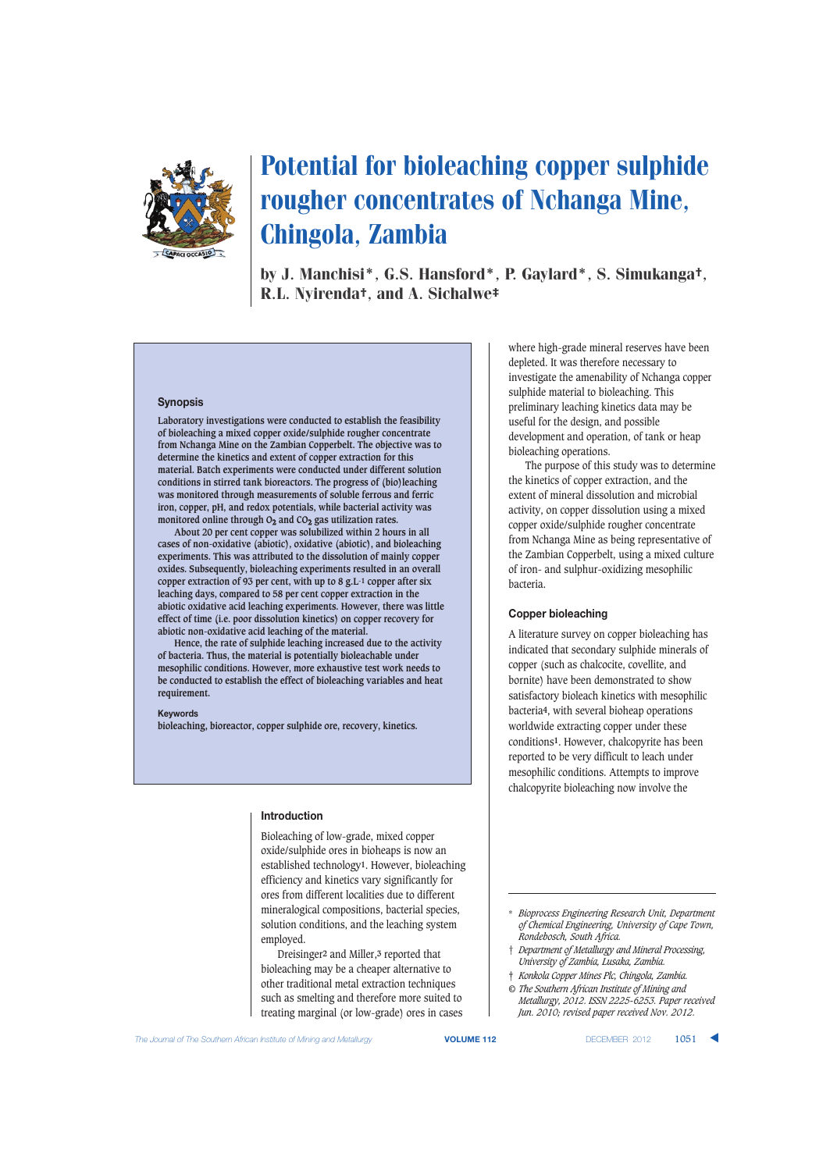

# Potential for bioleaching copper sulphide rougher concentrates of Nchanga Mine, Chingola, Zambia

by J. Manchisi\*, G.S. Hansford\*, P. Gaylard\*, S. Simukanga†, R.L. Nyirenda†, and A. Sichalwe‡

## **Synopsis**

**Laboratory investigations were conducted to establish the feasibility of bioleaching a mixed copper oxide/sulphide rougher concentrate from Nchanga Mine on the Zambian Copperbelt. The objective was to determine the kinetics and extent of copper extraction for this material. Batch experiments were conducted under different solution conditions in stirred tank bioreactors. The progress of (bio)leaching was monitored through measurements of soluble ferrous and ferric iron, copper, pH, and redox potentials, while bacterial activity was monitored online through O2 and CO2 gas utilization rates.** 

**About 20 per cent copper was solubilized within 2 hours in all cases of non-oxidative (abiotic), oxidative (abiotic), and bioleaching experiments. This was attributed to the dissolution of mainly copper oxides. Subsequently, bioleaching experiments resulted in an overall copper extraction of 93 per cent, with up to 8 g.L-1 copper after six leaching days, compared to 58 per cent copper extraction in the abiotic oxidative acid leaching experiments. However, there was little effect of time (i.e. poor dissolution kinetics) on copper recovery for abiotic non-oxidative acid leaching of the material.** 

**Hence, the rate of sulphide leaching increased due to the activity of bacteria. Thus, the material is potentially bioleachable under mesophilic conditions. However, more exhaustive test work needs to be conducted to establish the effect of bioleaching variables and heat requirement.**

#### **Keywords**

**bioleaching, bioreactor, copper sulphide ore, recovery, kinetics.**

## **Introduction**

Bioleaching of low-grade, mixed copper oxide/sulphide ores in bioheaps is now an established technology**1**. However, bioleaching efficiency and kinetics vary significantly for ores from different localities due to different mineralogical compositions, bacterial species, solution conditions, and the leaching system employed.

Dreisinger**2** and Miller,**3** reported that bioleaching may be a cheaper alternative to other traditional metal extraction techniques such as smelting and therefore more suited to treating marginal (or low-grade) ores in cases where high-grade mineral reserves have been depleted. It was therefore necessary to investigate the amenability of Nchanga copper sulphide material to bioleaching. This preliminary leaching kinetics data may be useful for the design, and possible development and operation, of tank or heap bioleaching operations.

The purpose of this study was to determine the kinetics of copper extraction, and the extent of mineral dissolution and microbial activity, on copper dissolution using a mixed copper oxide/sulphide rougher concentrate from Nchanga Mine as being representative of the Zambian Copperbelt, using a mixed culture of iron- and sulphur-oxidizing mesophilic bacteria.

## **Copper bioleaching**

A literature survey on copper bioleaching has indicated that secondary sulphide minerals of copper (such as chalcocite, covellite, and bornite) have been demonstrated to show satisfactory bioleach kinetics with mesophilic bacteria**4**, with several bioheap operations worldwide extracting copper under these conditions**1**. However, chalcopyrite has been reported to be very difficult to leach under mesophilic conditions. Attempts to improve chalcopyrite bioleaching now involve the

- † *Department of Metallurgy and Mineral Processing, University of Zambia, Lusaka, Zambia.*
- ‡ *Konkola Copper Mines Plc, Chingola, Zambia.*
- *© The Southern African Institute of Mining and Metallurgy, 2012. ISSN 2225-6253. Paper received Jun. 2010; revised paper received Nov. 2012.*

<sup>\*</sup> *Bioprocess Engineering Research Unit, Department of Chemical Engineering, University of Cape Town, Rondebosch, South Africa.*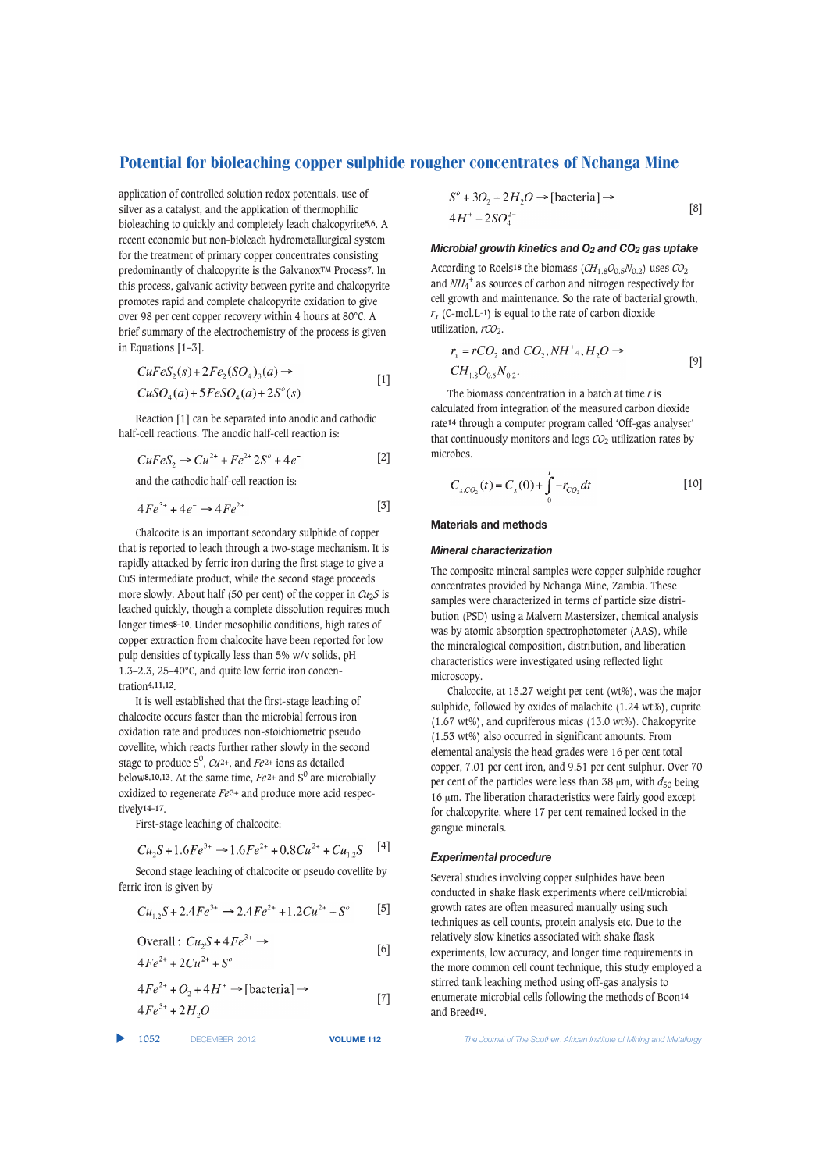application of controlled solution redox potentials, use of silver as a catalyst, and the application of thermophilic bioleaching to quickly and completely leach chalcopyrite**5,6**. A recent economic but non-bioleach hydrometallurgical system for the treatment of primary copper concentrates consisting predominantly of chalcopyrite is the GalvanoxTM Process**7**. In this process, galvanic activity between pyrite and chalcopyrite promotes rapid and complete chalcopyrite oxidation to give over 98 per cent copper recovery within 4 hours at 80°C. A brief summary of the electrochemistry of the process is given in Equations [1–3].

$$
CuFeS2(s) + 2Fe2(SO4)3(a) \rightarrow
$$
  
\n
$$
CuSO4(a) + 5FeSO4(a) + 2So(s)
$$
 [1]

Reaction [1] can be separated into anodic and cathodic half-cell reactions. The anodic half-cell reaction is:

$$
CuFeS_2 \to Cu^{2+} + Fe^{2+}2S^{\circ} + 4e^-
$$
 [2]

and the cathodic half-cell reaction is:

$$
4Fe^{3+} + 4e^- \to 4Fe^{2+}
$$
 [3]

Chalcocite is an important secondary sulphide of copper that is reported to leach through a two-stage mechanism. It is rapidly attacked by ferric iron during the first stage to give a CuS intermediate product, while the second stage proceeds more slowly. About half (50 per cent) of the copper in  $Cu<sub>2</sub>S$  is leached quickly, though a complete dissolution requires much longer times**8–10**. Under mesophilic conditions, high rates of copper extraction from chalcocite have been reported for low pulp densities of typically less than 5% w/v solids, pH 1.3–2.3, 25–40°C, and quite low ferric iron concentration**4,11,12**.

It is well established that the first-stage leaching of chalcocite occurs faster than the microbial ferrous iron oxidation rate and produces non-stoichiometric pseudo covellite, which reacts further rather slowly in the second stage to produce  $S^0$ ,  $Cu^{2+}$ , and  $Fe^{2+}$  ions as detailed below<sup>8,10,13</sup>. At the same time,  $Fe<sup>2+</sup>$  and  $S<sup>0</sup>$  are microbially oxidized to regenerate *Fe* 3+ and produce more acid respectively**14–17**.

First-stage leaching of chalcocite:

$$
Cu_2S + 1.6Fe^{3+} \rightarrow 1.6Fe^{2+} + 0.8Cu^{2+} + Cu_{1,2}S
$$
 [4]

Second stage leaching of chalcocite or pseudo covellite by ferric iron is given by

$$
Cu_{12}S + 2.4Fe^{3+} \rightarrow 2.4Fe^{2+} + 1.2Cu^{2+} + S^{\circ} \tag{5}
$$

$$
\text{Overall: } Cu_2S + 4Fe^{3+} \rightarrow \text{[6]}
$$

$$
4Fe^{2+} + 2Cu^{2+} + S^{o}
$$

$$
4Fe^{2+} + O_2 + 4H^+ \rightarrow [\text{bacteria}] \rightarrow
$$
  

$$
4Fe^{3+} + 2H_2O
$$
 [7]

$$
S^{\circ} + 3O_2 + 2H_2O \rightarrow [\text{bacteria}] \rightarrow
$$
  
4H<sup>+</sup> + 2SO<sub>4</sub><sup>2-</sup> [8]

#### *Microbial growth kinetics and O2 and CO2 gas uptake*

According to Roels**<sup>18</sup>** the biomass (*CH*1.8*O*0.5*N*0.2) uses *CO*<sup>2</sup> and *NH*<sup>4</sup> <sup>+</sup> as sources of carbon and nitrogen respectively for cell growth and maintenance. So the rate of bacterial growth,  $r_X$  (C-mol.L<sup>-1</sup>) is equal to the rate of carbon dioxide utilization,  $rCO<sub>2</sub>$ .

$$
r_x = rCO_2
$$
 and  $CO_2$ ,  $NH^+A$ ,  $H_2O \rightarrow$   
\n $CH_{1.8}O_{0.5}N_{0.2}$ . [9]

The biomass concentration in a batch at time *t* is calculated from integration of the measured carbon dioxide rate**14** through a computer program called 'Off-gas analyser' that continuously monitors and logs  $CO<sub>2</sub>$  utilization rates by microbes.

$$
C_{x,CO_2}(t) = C_x(0) + \int_0^t -r_{CO_2}dt
$$
 [10]

#### **Materials and methods**

#### *Mineral characterization*

The composite mineral samples were copper sulphide rougher concentrates provided by Nchanga Mine, Zambia. These samples were characterized in terms of particle size distribution (PSD) using a Malvern Mastersizer, chemical analysis was by atomic absorption spectrophotometer (AAS), while the mineralogical composition, distribution, and liberation characteristics were investigated using reflected light microscopy.

Chalcocite, at 15.27 weight per cent (wt%), was the major sulphide, followed by oxides of malachite (1.24 wt%), cuprite (1.67 wt%), and cupriferous micas (13.0 wt%). Chalcopyrite (1.53 wt%) also occurred in significant amounts. From elemental analysis the head grades were 16 per cent total copper, 7.01 per cent iron, and 9.51 per cent sulphur. Over 70 per cent of the particles were less than 38  $\mu$ m, with  $d_{50}$  being 16 µm. The liberation characteristics were fairly good except for chalcopyrite, where 17 per cent remained locked in the gangue minerals.

#### *Experimental procedure*

Several studies involving copper sulphides have been conducted in shake flask experiments where cell/microbial growth rates are often measured manually using such techniques as cell counts, protein analysis etc. Due to the relatively slow kinetics associated with shake flask experiments, low accuracy, and longer time requirements in the more common cell count technique, this study employed a stirred tank leaching method using off-gas analysis to enumerate microbial cells following the methods of Boon**14** and Breed**19**.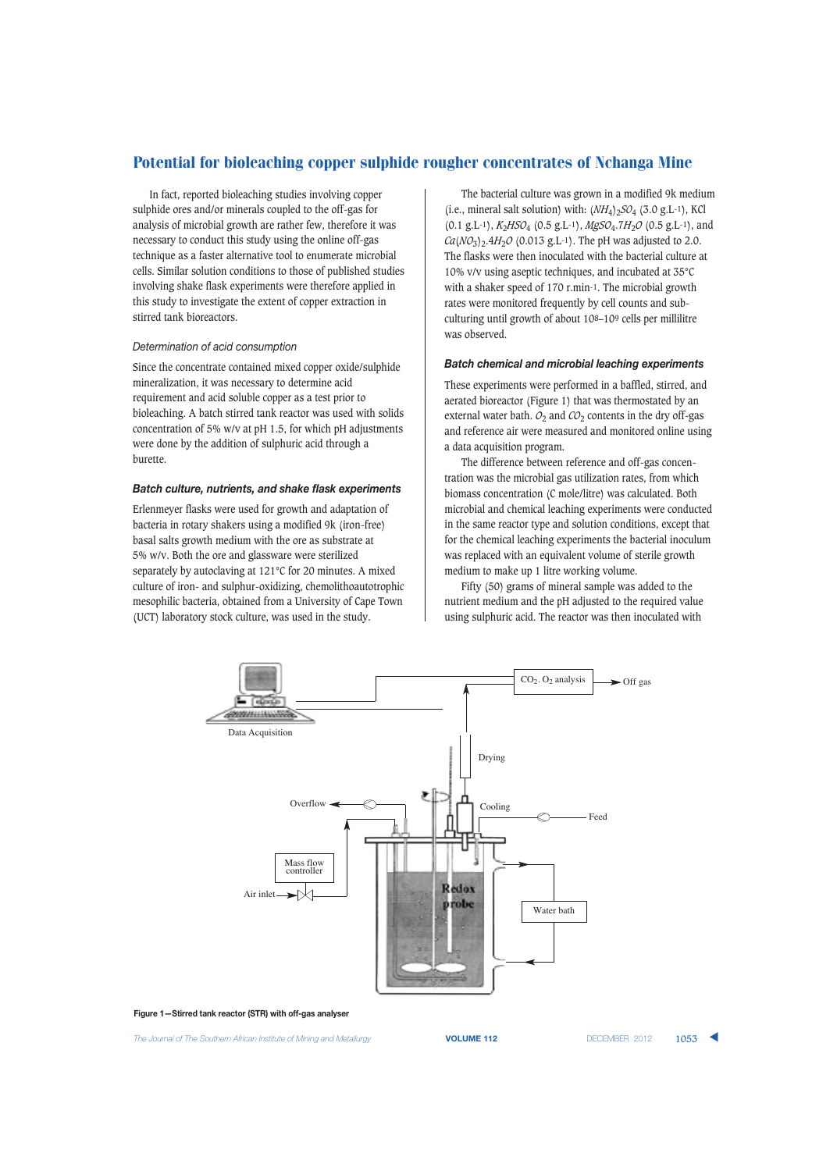In fact, reported bioleaching studies involving copper sulphide ores and/or minerals coupled to the off-gas for analysis of microbial growth are rather few, therefore it was necessary to conduct this study using the online off-gas technique as a faster alternative tool to enumerate microbial cells. Similar solution conditions to those of published studies involving shake flask experiments were therefore applied in this study to investigate the extent of copper extraction in stirred tank bioreactors.

## *Determination of acid consumption*

Since the concentrate contained mixed copper oxide/sulphide mineralization, it was necessary to determine acid requirement and acid soluble copper as a test prior to bioleaching. A batch stirred tank reactor was used with solids concentration of 5% w/v at pH 1.5, for which pH adjustments were done by the addition of sulphuric acid through a burette.

## *Batch culture, nutrients, and shake flask experiments*

Erlenmeyer flasks were used for growth and adaptation of bacteria in rotary shakers using a modified 9k (iron-free) basal salts growth medium with the ore as substrate at 5% w/v. Both the ore and glassware were sterilized separately by autoclaving at 121°C for 20 minutes. A mixed culture of iron- and sulphur-oxidizing, chemolithoautotrophic mesophilic bacteria, obtained from a University of Cape Town (UCT) laboratory stock culture, was used in the study.

The bacterial culture was grown in a modified 9k medium (i.e., mineral salt solution) with:  $(NH_4)_2SO_4$  (3.0 g.L<sup>-1</sup>), KCl (0.1 g.L-1), *K*2*HSO*<sup>4</sup> (0.5 g.L-1), *MgSO*4.7*H*2*O* (0.5 g.L-1), and  $Ca(NO<sub>3</sub>)<sub>2</sub>·4H<sub>2</sub>O$  (0.013 g.L<sup>-1</sup>). The pH was adjusted to 2.0. The flasks were then inoculated with the bacterial culture at 10% v/v using aseptic techniques, and incubated at 35°C with a shaker speed of 170 r.min-1. The microbial growth rates were monitored frequently by cell counts and subculturing until growth of about 108–109 cells per millilitre was observed.

## *Batch chemical and microbial leaching experiments*

These experiments were performed in a baffled, stirred, and aerated bioreactor (Figure 1) that was thermostated by an external water bath.  $O_2$  and  $CO_2$  contents in the dry off-gas and reference air were measured and monitored online using a data acquisition program.

The difference between reference and off-gas concentration was the microbial gas utilization rates, from which biomass concentration (C mole/litre) was calculated. Both microbial and chemical leaching experiments were conducted in the same reactor type and solution conditions, except that for the chemical leaching experiments the bacterial inoculum was replaced with an equivalent volume of sterile growth medium to make up 1 litre working volume.

Fifty (50) grams of mineral sample was added to the nutrient medium and the pH adjusted to the required value using sulphuric acid. The reactor was then inoculated with



**Figure 1—Stirred tank reactor (STR) with off-gas analyser**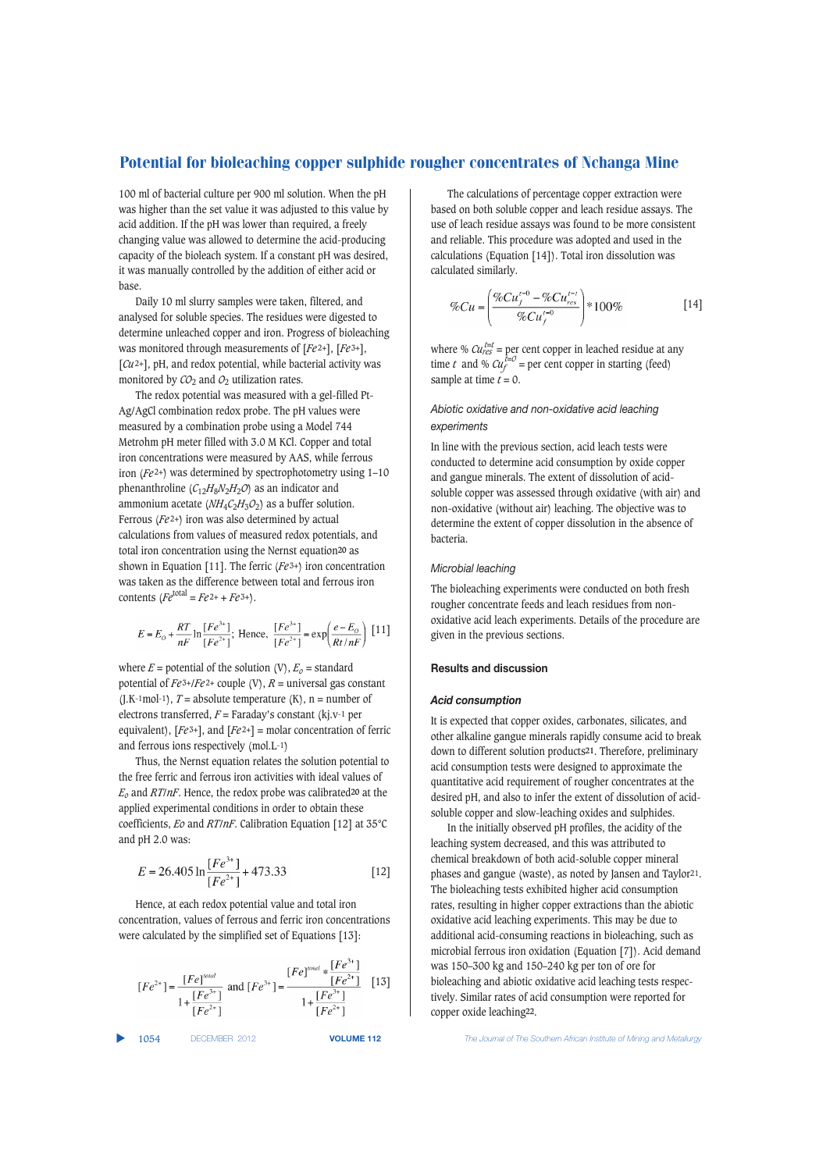100 ml of bacterial culture per 900 ml solution. When the pH was higher than the set value it was adjusted to this value by acid addition. If the pH was lower than required, a freely changing value was allowed to determine the acid-producing capacity of the bioleach system. If a constant pH was desired, it was manually controlled by the addition of either acid or base.

Daily 10 ml slurry samples were taken, filtered, and analysed for soluble species. The residues were digested to determine unleached copper and iron. Progress of bioleaching was monitored through measurements of [*Fe*<sup>2+</sup>], [*Fe*<sup>3+</sup>], [*Cu*2+], pH, and redox potential, while bacterial activity was monitored by  $CO<sub>2</sub>$  and  $O<sub>2</sub>$  utilization rates.

The redox potential was measured with a gel-filled Pt-Ag/AgCl combination redox probe. The pH values were measured by a combination probe using a Model 744 Metrohm pH meter filled with 3.0 M KCl. Copper and total iron concentrations were measured by AAS, while ferrous iron (*Fe* 2+) was determined by spectrophotometry using 1–10 phenanthroline  $(C_{12}H_8N_2H_2O)$  as an indicator and ammonium acetate (*NH*4*C*2*H*3*O*2) as a buffer solution. Ferrous (*Fe* 2+) iron was also determined by actual calculations from values of measured redox potentials, and total iron concentration using the Nernst equation**20** as shown in Equation [11]. The ferric (*Fe*<sup>3+</sup>) iron concentration was taken as the difference between total and ferrous iron contents  $\left(Fe^{\text{total}} = Fe^{2+} + Fe^{3+}\right).$ 

$$
E = E_O + \frac{RT}{nF} \ln \frac{[Fe^{3+}]}{[Fe^{2+}]};
$$
 Hence, 
$$
\frac{[Fe^{3+}]}{[Fe^{2+}]} = \exp \left(\frac{e - E_O}{Rt/nF}\right)
$$
 [11]

where  $E =$  potential of the solution (V),  $E_0 =$  standard potential of  $Fe^{3+}/Fe^{2+}$  couple (V),  $R =$  universal gas constant  $(J.K<sup>-1</sup>mol<sup>-1</sup>)$ , *T* = absolute temperature  $(K)$ , n = number of electrons transferred, *F* = Faraday's constant (kj.v-1 per equivalent),  $[Fe^{3+}]$ , and  $[Fe^{2+}]$  = molar concentration of ferric and ferrous ions respectively (mol.L-1)

Thus, the Nernst equation relates the solution potential to the free ferric and ferrous iron activities with ideal values of *Eo* and *RT*/*nF*. Hence, the redox probe was calibrated**<sup>20</sup>** at the applied experimental conditions in order to obtain these coefficients, *Eo* and *RT*/*nF*. Calibration Equation [12] at 35°C and pH 2.0 was:

$$
E = 26.405 \ln \frac{[Fe^{3+}]}{[Fe^{2+}]} + 473.33
$$
 [12]

Hence, at each redox potential value and total iron concentration, values of ferrous and ferric iron concentrations were calculated by the simplified set of Equations [13]:

$$
[Fe^{2+}] = \frac{[Fe]^{total}}{1 + \frac{[Fe^{3+}]}{[Fe^{2+}]} }
$$
 and 
$$
[Fe^{3+}] = \frac{[Fe]^{total} * [Fe^{3+}]}{1 + [Fe^{2+}]} [13]
$$

The calculations of percentage copper extraction were based on both soluble copper and leach residue assays. The use of leach residue assays was found to be more consistent and reliable. This procedure was adopted and used in the calculations (Equation [14]). Total iron dissolution was calculated similarly.

$$
\%Cu = \left(\frac{\%Cu_f^{t=0} - \%Cu_{res}^{t=t}}{\%Cu_f^{t=0}}\right) * 100\%
$$
 [14]

where %  $\mathcal{C}u_{\text{res}}^{\text{t=t}}$  = per cent copper in leached residue at any time *t* and %  $\mathcal{C}u_f^{t=0}$  = per cent copper in starting (feed) sample at time  $\tilde{t} = 0$ .

## *Abiotic oxidative and non-oxidative acid leaching experiments*

In line with the previous section, acid leach tests were conducted to determine acid consumption by oxide copper and gangue minerals. The extent of dissolution of acidsoluble copper was assessed through oxidative (with air) and non-oxidative (without air) leaching. The objective was to determine the extent of copper dissolution in the absence of bacteria.

#### *Microbial leaching*

The bioleaching experiments were conducted on both fresh rougher concentrate feeds and leach residues from nonoxidative acid leach experiments. Details of the procedure are given in the previous sections.

## **Results and discussion**

#### *Acid consumption*

It is expected that copper oxides, carbonates, silicates, and other alkaline gangue minerals rapidly consume acid to break down to different solution products**21**. Therefore, preliminary acid consumption tests were designed to approximate the quantitative acid requirement of rougher concentrates at the desired pH, and also to infer the extent of dissolution of acidsoluble copper and slow-leaching oxides and sulphides.

In the initially observed pH profiles, the acidity of the leaching system decreased, and this was attributed to chemical breakdown of both acid-soluble copper mineral phases and gangue (waste), as noted by Jansen and Taylor21. The bioleaching tests exhibited higher acid consumption rates, resulting in higher copper extractions than the abiotic oxidative acid leaching experiments. This may be due to additional acid-consuming reactions in bioleaching, such as microbial ferrous iron oxidation (Equation [7]). Acid demand was 150–300 kg and 150–240 kg per ton of ore for bioleaching and abiotic oxidative acid leaching tests respectively. Similar rates of acid consumption were reported for copper oxide leaching**22**.

▲

1054 DECEMBER 2012 **VOLUME 112** *The Journal of The Southern African Institute of Mining and Metallurgy*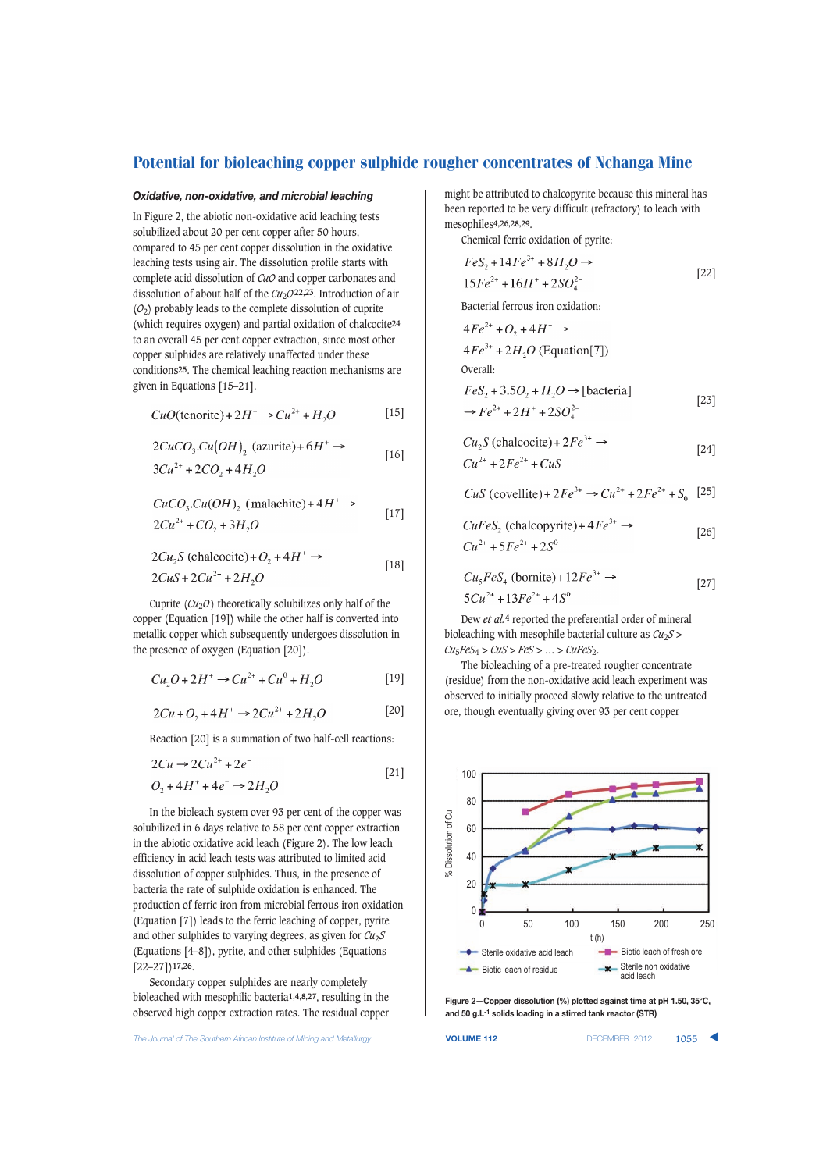## *Oxidative, non-oxidative, and microbial leaching*

In Figure 2, the abiotic non-oxidative acid leaching tests solubilized about 20 per cent copper after 50 hours, compared to 45 per cent copper dissolution in the oxidative leaching tests using air. The dissolution profile starts with complete acid dissolution of *CuO* and copper carbonates and dissolution of about half of the *Cu*<sub>2</sub>*O*<sup>22,23</sup>. Introduction of air (*O*2) probably leads to the complete dissolution of cuprite (which requires oxygen) and partial oxidation of chalcocite**24** to an overall 45 per cent copper extraction, since most other copper sulphides are relatively unaffected under these conditions**25**. The chemical leaching reaction mechanisms are given in Equations [15–21].

$$
CuO(\text{tenorite}) + 2H^+ \rightarrow Cu^{2+} + H_2O \tag{15}
$$

$$
2CuCO3.Cu(OH)2 (azurite) + 6H+ \rightarrow [16]
$$
  

$$
3Cu2+ + 2CO2 + 4H2O
$$

$$
CuCO3.Cu(OH), (malachite)+4H+\rightarrow
$$

$$
2Cu^{2+} + CO_2 + 3H_2O
$$
 [17]

$$
2Cu_2S \text{ (chalcocite)} + O_2 + 4H^+ \rightarrow
$$
  
 
$$
2CuS + 2Cu^{2+} + 2H_2O \qquad [18]
$$

Cuprite  $(Cu_2O)$  theoretically solubilizes only half of the copper (Equation [19]) while the other half is converted into metallic copper which subsequently undergoes dissolution in the presence of oxygen (Equation [20]).

$$
Cu_2O + 2H^+ \to Cu^{2+} + Cu^0 + H_2O
$$
 [19]

$$
2Cu + O_2 + 4H^+ \to 2Cu^{2+} + 2H_2O
$$
 [20]

Reaction [20] is a summation of two half-cell reactions:

$$
2Cu \to 2Cu^{2+} + 2e^{-}
$$
  
\n
$$
O_2 + 4H^+ + 4e^- \to 2H_2O
$$
\n[21]

In the bioleach system over 93 per cent of the copper was solubilized in 6 days relative to 58 per cent copper extraction in the abiotic oxidative acid leach (Figure 2). The low leach efficiency in acid leach tests was attributed to limited acid dissolution of copper sulphides. Thus, in the presence of bacteria the rate of sulphide oxidation is enhanced. The production of ferric iron from microbial ferrous iron oxidation (Equation [7]) leads to the ferric leaching of copper, pyrite and other sulphides to varying degrees, as given for *Cu*2*S* (Equations [4–8]), pyrite, and other sulphides (Equations [22–27])**17,26**.

Secondary copper sulphides are nearly completely bioleached with mesophilic bacteria**1,4,8,27**, resulting in the observed high copper extraction rates. The residual copper

might be attributed to chalcopyrite because this mineral has been reported to be very difficult (refractory) to leach with mesophiles**4,26,28,29**.

Chemical ferric oxidation of pyrite:

$$
FeS_2 + 14Fe^{3+} + 8H_2O \rightarrow
$$
  
15Fe<sup>2+</sup> + 16H<sup>+</sup> + 2SO<sub>4</sub><sup>2-</sup> [22]

Bacterial ferrous iron oxidation:

$$
4Fe^{2+} + O_2 + 4H^+ \rightarrow
$$
  
\n
$$
4Fe^{3+} + 2H_2O
$$
 (Equation[7])  
\nOverall:  
\n
$$
FeS_2 + 3.5O_2 + H_2O \rightarrow
$$
 [bacteria]

$$
\Rightarrow Fe^{2+} + 2H^+ + 2SO_4^{2-}
$$
 [23]

$$
Cu2S (chalocite) + 2Fe3+ \rightarrow
$$
  
\n
$$
Cu2+ + 2Fe2+ + CuS
$$
\n[24]

 $CuS$  (covellite) +  $2Fe^{3+}$   $\rightarrow Cu^{2+} + 2Fe^{2+} + S_0$  [25]

$$
CuFeS2 (chalcopyrite) + 4Fe3+ \rightarrow
$$
  
\n
$$
Cu2+ + 5Fe2+ + 2S0
$$
 [26]

$$
Cu5FeS4 (bornite) + 12Fe3+ \rightarrow
$$
  
\n
$$
5Cu2+ + 13Fe2+ + 4S0
$$
 [27]

Dew *et al.***4** reported the preferential order of mineral bioleaching with mesophile bacterial culture as *Cu*2*S* >  $Cu_5FeS_4 > CuS > FeS > ... > CuFeS_2$ .

The bioleaching of a pre-treated rougher concentrate (residue) from the non-oxidative acid leach experiment was observed to initially proceed slowly relative to the untreated ore, though eventually giving over 93 per cent copper



**Figure 2—Copper dissolution (%) plotted against time at pH 1.50, 35°C, and 50 g.L-1 solids loading in a stirred tank reactor (STR)**

**The Journal of The Southern African Institute of Mining and Metallurgy <b>VOLUME 112 VOLUME 112** DECEMBER 2012 **1055**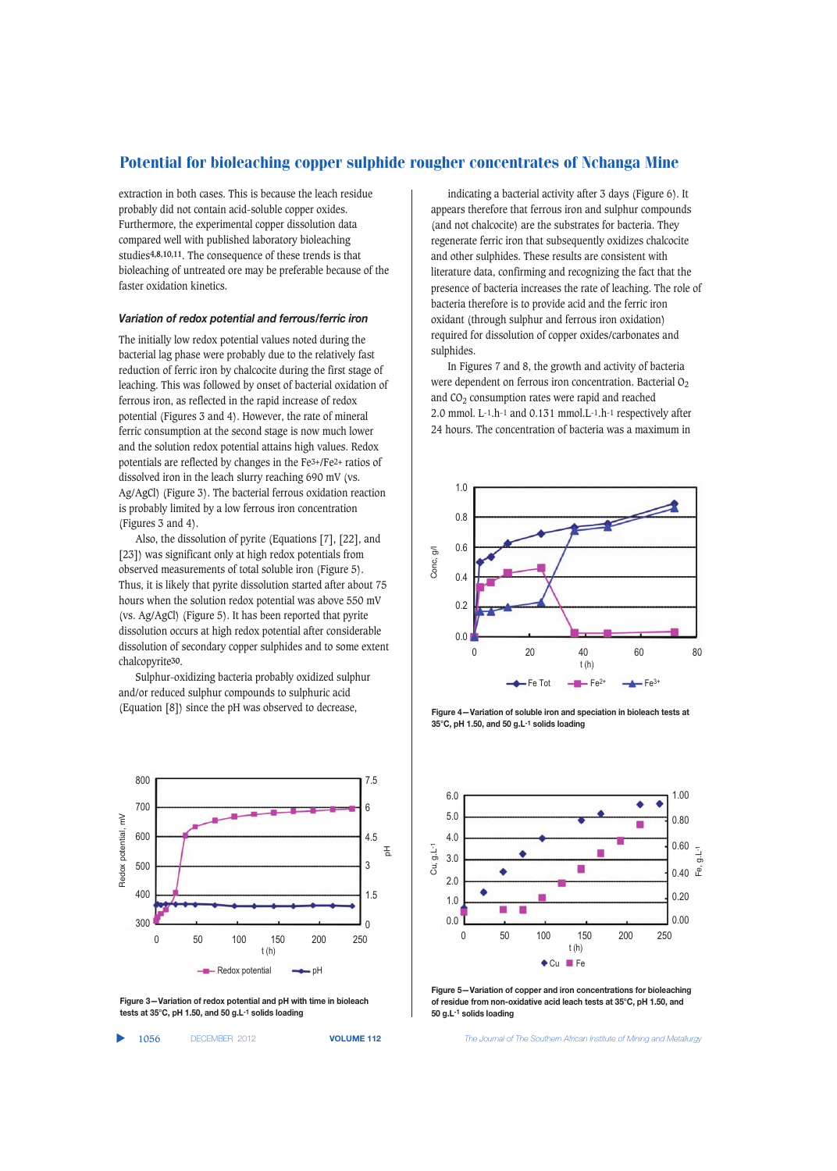extraction in both cases. This is because the leach residue probably did not contain acid-soluble copper oxides. Furthermore, the experimental copper dissolution data compared well with published laboratory bioleaching studies**4,8,10,11**. The consequence of these trends is that bioleaching of untreated ore may be preferable because of the faster oxidation kinetics.

#### *Variation of redox potential and ferrous/ferric iron*

The initially low redox potential values noted during the bacterial lag phase were probably due to the relatively fast reduction of ferric iron by chalcocite during the first stage of leaching. This was followed by onset of bacterial oxidation of ferrous iron, as reflected in the rapid increase of redox potential (Figures 3 and 4). However, the rate of mineral ferric consumption at the second stage is now much lower and the solution redox potential attains high values. Redox potentials are reflected by changes in the Fe3+/Fe2+ ratios of dissolved iron in the leach slurry reaching 690 mV (vs. Ag/AgCl) (Figure 3). The bacterial ferrous oxidation reaction is probably limited by a low ferrous iron concentration (Figures 3 and 4).

Also, the dissolution of pyrite (Equations [7], [22], and [23]) was significant only at high redox potentials from observed measurements of total soluble iron (Figure 5). Thus, it is likely that pyrite dissolution started after about 75 hours when the solution redox potential was above 550 mV (vs. Ag/AgCl) (Figure 5). It has been reported that pyrite dissolution occurs at high redox potential after considerable dissolution of secondary copper sulphides and to some extent chalcopyrite**30**.

Sulphur-oxidizing bacteria probably oxidized sulphur and/or reduced sulphur compounds to sulphuric acid (Equation [8]) since the pH was observed to decrease,



**Figure 3—Variation of redox potential and pH with time in bioleach tests at 35°C, pH 1.50, and 50 g.L-1 solids loading**

▲

indicating a bacterial activity after 3 days (Figure 6). It appears therefore that ferrous iron and sulphur compounds (and not chalcocite) are the substrates for bacteria. They regenerate ferric iron that subsequently oxidizes chalcocite and other sulphides. These results are consistent with literature data, confirming and recognizing the fact that the presence of bacteria increases the rate of leaching. The role of bacteria therefore is to provide acid and the ferric iron oxidant (through sulphur and ferrous iron oxidation) required for dissolution of copper oxides/carbonates and sulphides.

In Figures 7 and 8, the growth and activity of bacteria were dependent on ferrous iron concentration. Bacterial  $O<sub>2</sub>$ and  $CO<sub>2</sub>$  consumption rates were rapid and reached 2.0 mmol. L-1.h-1 and 0.131 mmol.L-1.h-1 respectively after 24 hours. The concentration of bacteria was a maximum in



**Figure 4—Variation of soluble iron and speciation in bioleach tests at 35°C, pH 1.50, and 50 g.L-1 solids loading**



**Figure 5—Variation of copper and iron concentrations for bioleaching of residue from non-oxidative acid leach tests at 35°C, pH 1.50, and 50 g.L-1 solids loading**

1056 DECEMBER 2012 **VOLUME 112** *The Journal of The Southern African Institute of Mining and Metallurgy*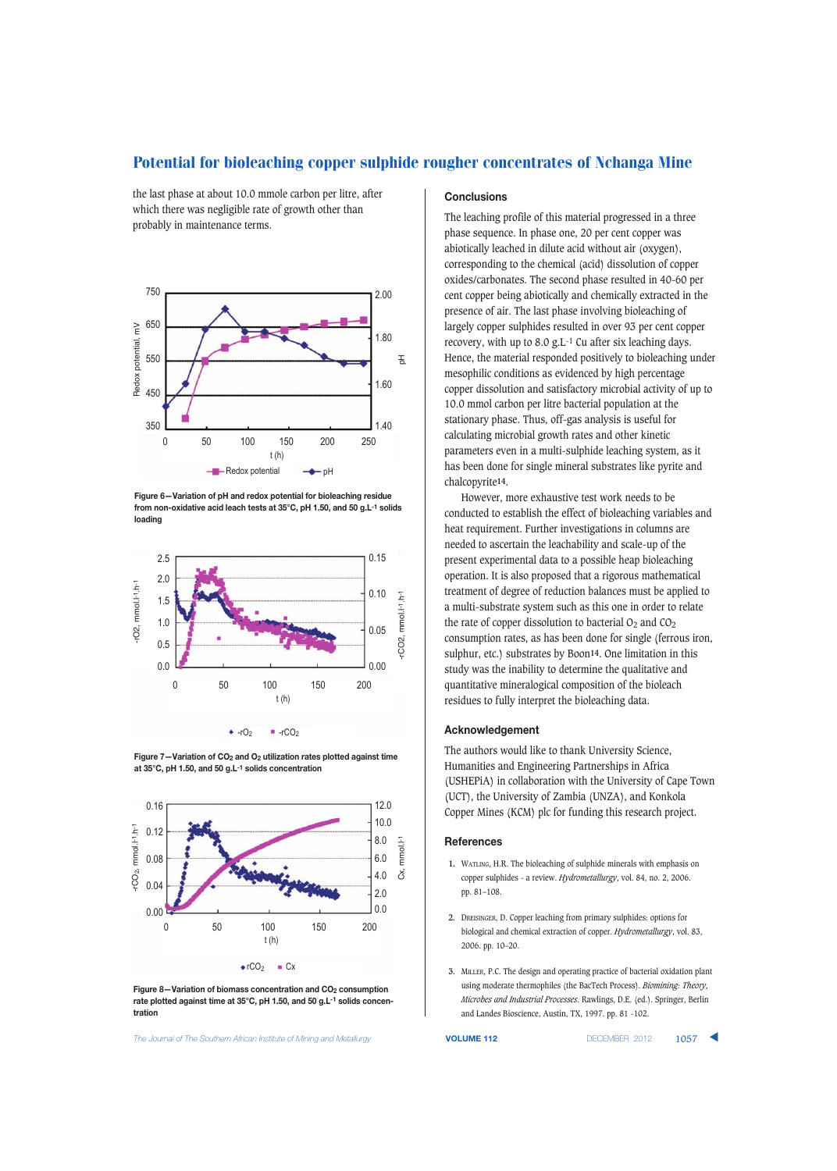the last phase at about 10.0 mmole carbon per litre, after which there was negligible rate of growth other than probably in maintenance terms.



**Figure 6—Variation of pH and redox potential for bioleaching residue from non-oxidative acid leach tests at 35°C, pH 1.50, and 50 g.L-1 solids loading**







**Figure 8–Variation of biomass concentration and CO<sub>2</sub> consumption rate plotted against time at 35°C, pH 1.50, and 50 g.L-1 solids concentration**

**The Journal of The Southern African Institute of Mining and Metallurgy <b>VOLUME 112 VOLUME 112 DECEMBER 2012 1057** 

# **Conclusions**

The leaching profile of this material progressed in a three phase sequence. In phase one, 20 per cent copper was abiotically leached in dilute acid without air (oxygen), corresponding to the chemical (acid) dissolution of copper oxides/carbonates. The second phase resulted in 40-60 per cent copper being abiotically and chemically extracted in the presence of air. The last phase involving bioleaching of largely copper sulphides resulted in over 93 per cent copper recovery, with up to 8.0 g.L-1 Cu after six leaching days. Hence, the material responded positively to bioleaching under mesophilic conditions as evidenced by high percentage copper dissolution and satisfactory microbial activity of up to 10.0 mmol carbon per litre bacterial population at the stationary phase. Thus, off-gas analysis is useful for calculating microbial growth rates and other kinetic parameters even in a multi-sulphide leaching system, as it has been done for single mineral substrates like pyrite and chalcopyrite**14**.

However, more exhaustive test work needs to be conducted to establish the effect of bioleaching variables and heat requirement. Further investigations in columns are needed to ascertain the leachability and scale-up of the present experimental data to a possible heap bioleaching operation. It is also proposed that a rigorous mathematical treatment of degree of reduction balances must be applied to a multi-substrate system such as this one in order to relate the rate of copper dissolution to bacterial  $O_2$  and  $CO_2$ consumption rates, as has been done for single (ferrous iron, sulphur, etc.) substrates by Boon**14**. One limitation in this study was the inability to determine the qualitative and quantitative mineralogical composition of the bioleach residues to fully interpret the bioleaching data.

#### **Acknowledgement**

The authors would like to thank University Science, Humanities and Engineering Partnerships in Africa (USHEPiA) in collaboration with the University of Cape Town (UCT), the University of Zambia (UNZA), and Konkola Copper Mines (KCM) plc for funding this research project.

#### **References**

- **1.** WATLING, H.R. The bioleaching of sulphide minerals with emphasis on copper sulphides - a review. *Hydrometallurgy*, vol. 84, no. 2, 2006. pp. 81–108.
- **2.** DREISINGER, D. Copper leaching from primary sulphides: options for biological and chemical extraction of copper. *Hydrometallurgy*, vol. 83, 2006. pp. 10–20.
- **3.** MILLER, P.C. The design and operating practice of bacterial oxidation plant using moderate thermophiles (the BacTech Process). *Biomining: Theory, Microbes and Industrial Processes*. Rawlings, D.E. (ed.). Springer, Berlin and Landes Bioscience, Austin, TX, 1997. pp. 81 -102.